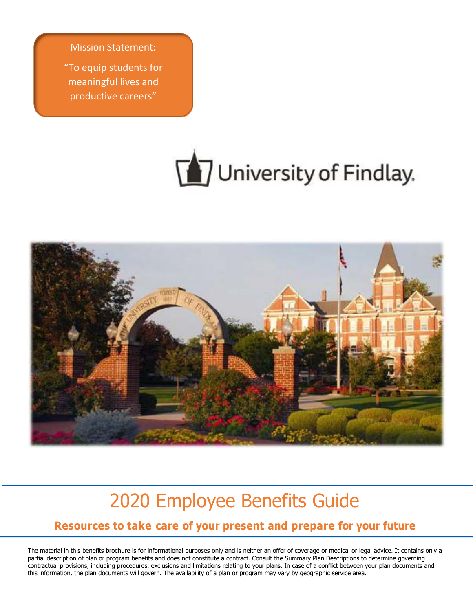Mission Statement:

"To equip students for meaningful lives and productive careers"

# University of Findlay.



# 2020 Employee Benefits Guide

#### **Resources to take care of your present and prepare for your future**

The material in this benefits brochure is for informational purposes only and is neither an offer of coverage or medical or legal advice. It contains only a partial description of plan or program benefits and does not constitute a contract. Consult the Summary Plan Descriptions to determine governing contractual provisions, including procedures, exclusions and limitations relating to your plans. In case of a conflict between your plan documents and this information, the plan documents will govern. The availability of a plan or program may vary by geographic service area.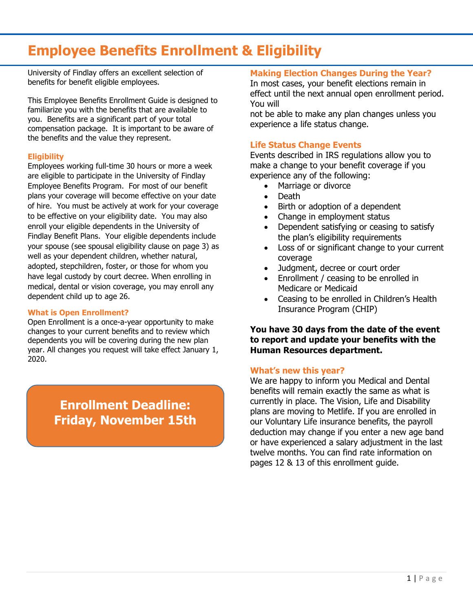### **Employee Benefits Enrollment & Eligibility**

University of Findlay offers an excellent selection of benefits for benefit eligible employees.

This Employee Benefits Enrollment Guide is designed to familiarize you with the benefits that are available to you. Benefits are a significant part of your total compensation package. It is important to be aware of the benefits and the value they represent.

#### **Eligibility**

Employees working full-time 30 hours or more a week are eligible to participate in the University of Findlay Employee Benefits Program. For most of our benefit plans your coverage will become effective on your date of hire. You must be actively at work for your coverage to be effective on your eligibility date. You may also enroll your eligible dependents in the University of Findlay Benefit Plans. Your eligible dependents include your spouse (see spousal eligibility clause on page 3) as well as your dependent children, whether natural, adopted, stepchildren, foster, or those for whom you have legal custody by court decree. When enrolling in medical, dental or vision coverage, you may enroll any dependent child up to age 26.

#### **What is Open Enrollment?**

Open Enrollment is a once-a-year opportunity to make changes to your current benefits and to review which dependents you will be covering during the new plan year. All changes you request will take effect January 1, 2020.

> **Enrollment Deadline: Friday, November 15th**

#### **Making Election Changes During the Year?**

In most cases, your benefit elections remain in effect until the next annual open enrollment period. You will

not be able to make any plan changes unless you experience a life status change.

#### **Life Status Change Events**

Events described in IRS regulations allow you to make a change to your benefit coverage if you experience any of the following:

- Marriage or divorce
- Death
- Birth or adoption of a dependent
- Change in employment status
- Dependent satisfying or ceasing to satisfy the plan's eligibility requirements
- Loss of or significant change to your current coverage
- Judgment, decree or court order
- Enrollment / ceasing to be enrolled in Medicare or Medicaid
- Ceasing to be enrolled in Children's Health Insurance Program (CHIP)

#### **You have 30 days from the date of the event to report and update your benefits with the Human Resources department.**

#### **What's new this year?**

We are happy to inform you Medical and Dental benefits will remain exactly the same as what is currently in place. The Vision, Life and Disability plans are moving to Metlife. If you are enrolled in our Voluntary Life insurance benefits, the payroll deduction may change if you enter a new age band or have experienced a salary adjustment in the last twelve months. You can find rate information on pages 12 & 13 of this enrollment guide.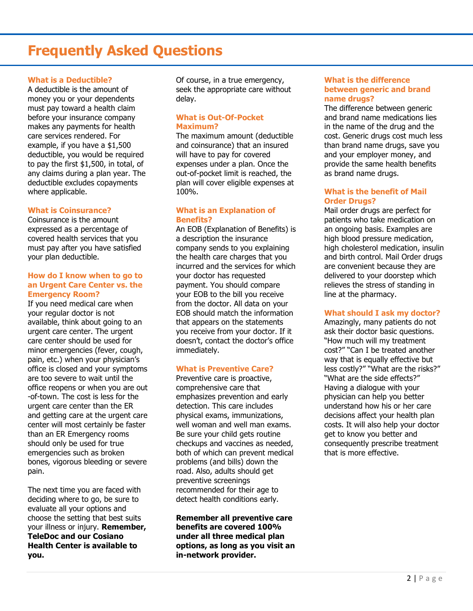### **Frequently Asked Questions**

#### **What is a Deductible?**

A deductible is the amount of money you or your dependents must pay toward a health claim before your insurance company makes any payments for health care services rendered. For example, if you have a \$1,500 deductible, you would be required to pay the first \$1,500, in total, of any claims during a plan year. The deductible excludes copayments where applicable.

#### **What is Coinsurance?**

Coinsurance is the amount expressed as a percentage of covered health services that you must pay after you have satisfied your plan deductible.

#### **How do I know when to go to an Urgent Care Center vs. the Emergency Room?**

If you need medical care when your regular doctor is not available, think about going to an urgent care center. The urgent care center should be used for minor emergencies (fever, cough, pain, etc.) when your physician's office is closed and your symptoms are too severe to wait until the office reopens or when you are out -of-town. The cost is less for the urgent care center than the ER and getting care at the urgent care center will most certainly be faster than an ER Emergency rooms should only be used for true emergencies such as broken bones, vigorous bleeding or severe pain.

The next time you are faced with deciding where to go, be sure to evaluate all your options and choose the setting that best suits your illness or injury. **Remember, TeleDoc and our Cosiano Health Center is available to you.**

Of course, in a true emergency, seek the appropriate care without delay.

#### **What is Out-Of-Pocket Maximum?**

The maximum amount (deductible and coinsurance) that an insured will have to pay for covered expenses under a plan. Once the out-of-pocket limit is reached, the plan will cover eligible expenses at 100%.

#### **What is an Explanation of Benefits?**

An EOB (Explanation of Benefits) is a description the insurance company sends to you explaining the health care charges that you incurred and the services for which your doctor has requested payment. You should compare your EOB to the bill you receive from the doctor. All data on your EOB should match the information that appears on the statements you receive from your doctor. If it doesn't, contact the doctor's office immediately.

#### **What is Preventive Care?**

Preventive care is proactive, comprehensive care that emphasizes prevention and early detection. This care includes physical exams, immunizations, well woman and well man exams. Be sure your child gets routine checkups and vaccines as needed, both of which can prevent medical problems (and bills) down the road. Also, adults should get preventive screenings recommended for their age to detect health conditions early.

**Remember all preventive care benefits are covered 100% under all three medical plan options, as long as you visit an in-network provider.** 

#### **What is the difference between generic and brand name drugs?**

The difference between generic and brand name medications lies in the name of the drug and the cost. Generic drugs cost much less than brand name drugs, save you and your employer money, and provide the same health benefits as brand name drugs.

#### **What is the benefit of Mail Order Drugs?**

Mail order drugs are perfect for patients who take medication on an ongoing basis. Examples are high blood pressure medication, high cholesterol medication, insulin and birth control. Mail Order drugs are convenient because they are delivered to your doorstep which relieves the stress of standing in line at the pharmacy.

#### **What should I ask my doctor?**

Amazingly, many patients do not ask their doctor basic questions. "How much will my treatment cost?" "Can I be treated another way that is equally effective but less costly?" "What are the risks?" "What are the side effects?" Having a dialogue with your physician can help you better understand how his or her care decisions affect your health plan costs. It will also help your doctor get to know you better and consequently prescribe treatment that is more effective.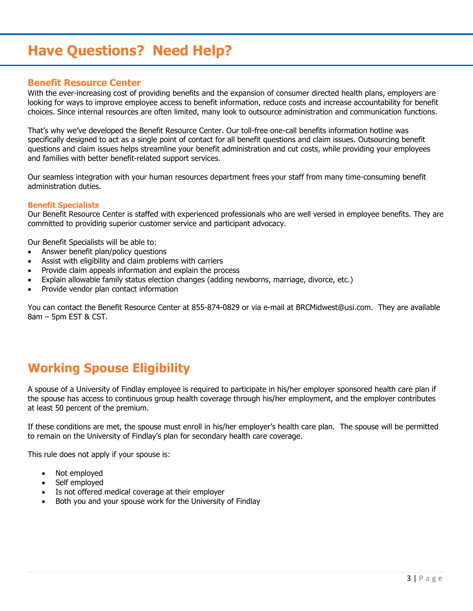### **Have Questions? Need Help?**

#### **Benefit Resource Center**

With the ever-increasing cost of providing benefits and the expansion of consumer directed health plans, employers are looking for ways to improve employee access to benefit information, reduce costs and increase accountability for benefit choices. Since internal resources are often limited, many look to outsource administration and communication functions.

That's why we've developed the Benefit Resource Center. Our toll-free one-call benefits information hotline was specifically designed to act as a single point of contact for all benefit questions and claim issues. Outsourcing benefit questions and claim issues helps streamline your benefit administration and cut costs, while providing your employees and families with better benefit-related support services.

Our seamless integration with your human resources department frees your staff from many time-consuming benefit administration duties.

#### **Benefit Specialists**

Our Benefit Resource Center is staffed with experienced professionals who are well versed in employee benefits. They are committed to providing superior customer service and participant advocacy.

Our Benefit Specialists will be able to:

- Answer benefit plan/policy questions
- Assist with eligibility and claim problems with carriers
- Provide claim appeals information and explain the process
- Explain allowable family status election changes (adding newborns, marriage, divorce, etc.)
- Provide vendor plan contact information

You can contact the Benefit Resource Center at 855-874-0829 or via e-mail at BRCMidwest@usi.com. They are available 8am – 5pm EST & CST.

### **Working Spouse Eligibility**

A spouse of a University of Findlay employee is required to participate in his/her employer sponsored health care plan if the spouse has access to continuous group health coverage through his/her employment, and the employer contributes at least 50 percent of the premium.

If these conditions are met, the spouse must enroll in his/her employer's health care plan. The spouse will be permitted to remain on the University of Findlay's plan for secondary health care coverage.

This rule does not apply if your spouse is:

- Not employed
- Self employed
- Is not offered medical coverage at their employer
- Both you and your spouse work for the University of Findlay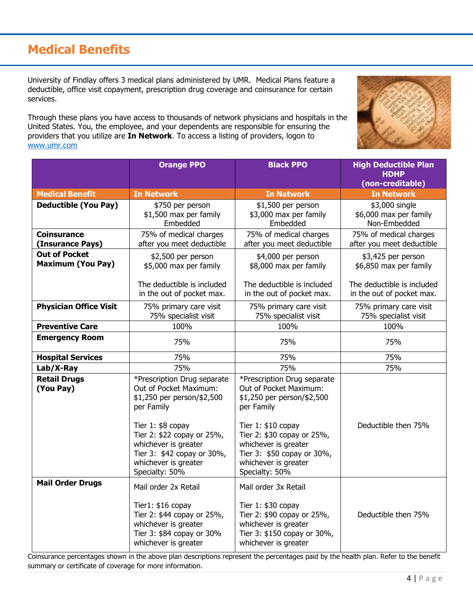### **Medical Benefits**

University of Findlay offers 3 medical plans administered by UMR. Medical Plans feature a deductible, office visit copayment, prescription drug coverage and coinsurance for certain services.

Through these plans you have access to thousands of network physicians and hospitals in the United States. You, the employee, and your dependents are responsible for ensuring the providers that you utilize are **In Network**. To access a listing of providers, logon to www.umr.com



|                                                  | <b>Orange PPO</b>                                                                                                                                                                                                                                  | <b>Black PPO</b>                                                                                                                                                                                                                    | <b>High Deductible Plan</b><br><b>HDHP</b><br>(non-creditable) |
|--------------------------------------------------|----------------------------------------------------------------------------------------------------------------------------------------------------------------------------------------------------------------------------------------------------|-------------------------------------------------------------------------------------------------------------------------------------------------------------------------------------------------------------------------------------|----------------------------------------------------------------|
| <b>Medical Benefit</b>                           | <b>In Network</b>                                                                                                                                                                                                                                  | <b>In Network</b>                                                                                                                                                                                                                   | <b>In Network</b>                                              |
| <b>Deductible (You Pay)</b>                      | \$750 per person<br>\$1,500 max per family<br>Embedded                                                                                                                                                                                             | \$1,500 per person<br>\$3,000 max per family<br>Embedded                                                                                                                                                                            | \$3,000 single<br>\$6,000 max per family<br>Non-Embedded       |
| <b>Coinsurance</b><br>(Insurance Pays)           | 75% of medical charges<br>after you meet deductible                                                                                                                                                                                                | 75% of medical charges<br>after you meet deductible                                                                                                                                                                                 | 75% of medical charges<br>after you meet deductible            |
| <b>Out of Pocket</b><br><b>Maximum (You Pay)</b> | \$2,500 per person<br>\$5,000 max per family                                                                                                                                                                                                       | \$4,000 per person<br>\$8,000 max per family                                                                                                                                                                                        | \$3,425 per person<br>\$6,850 max per family                   |
|                                                  | The deductible is included<br>in the out of pocket max.                                                                                                                                                                                            | The deductible is included<br>in the out of pocket max.                                                                                                                                                                             | The deductible is included<br>in the out of pocket max.        |
| <b>Physician Office Visit</b>                    | 75% primary care visit<br>75% specialist visit                                                                                                                                                                                                     | 75% primary care visit<br>75% specialist visit                                                                                                                                                                                      | 75% primary care visit<br>75% specialist visit                 |
| <b>Preventive Care</b>                           | 100%                                                                                                                                                                                                                                               | 100%                                                                                                                                                                                                                                | 100%                                                           |
| <b>Emergency Room</b>                            | 75%                                                                                                                                                                                                                                                | 75%                                                                                                                                                                                                                                 | 75%                                                            |
| <b>Hospital Services</b>                         | 75%                                                                                                                                                                                                                                                | 75%                                                                                                                                                                                                                                 | 75%                                                            |
| Lab/X-Ray                                        | 75%                                                                                                                                                                                                                                                | 75%                                                                                                                                                                                                                                 | 75%                                                            |
| <b>Retail Drugs</b><br>(You Pay)                 | *Prescription Drug separate<br>Out of Pocket Maximum:<br>\$1,250 per person/\$2,500<br>per Family<br>Tier 1: \$8 copay<br>Tier 2: \$22 copay or 25%,<br>whichever is greater<br>Tier 3: \$42 copay or 30%,<br>whichever is greater                 | *Prescription Drug separate<br>Out of Pocket Maximum:<br>\$1,250 per person/\$2,500<br>per Family<br>Tier 1: \$10 copay<br>Tier 2: \$30 copay or 25%,<br>whichever is greater<br>Tier 3: \$50 copay or 30%,<br>whichever is greater | Deductible then 75%                                            |
| <b>Mail Order Drugs</b>                          | Specialty: 50%                                                                                                                                                                                                                                     | Specialty: 50%                                                                                                                                                                                                                      |                                                                |
|                                                  | Mail order 2x Retail<br>Mail order 3x Retail<br>Tier1: \$16 copay<br>Tier 1: \$30 copay<br>Tier 2: \$44 copay or 25%,<br>whichever is greater<br>whichever is greater<br>Tier 3: \$84 copay or 30%<br>whichever is greater<br>whichever is greater | Tier 2: \$90 copay or 25%,<br>Tier 3: \$150 copay or 30%,                                                                                                                                                                           | Deductible then 75%                                            |

Coinsurance percentages shown in the above plan descriptions represent the percentages paid by the health plan. Refer to the benefit summary or certificate of coverage for more information.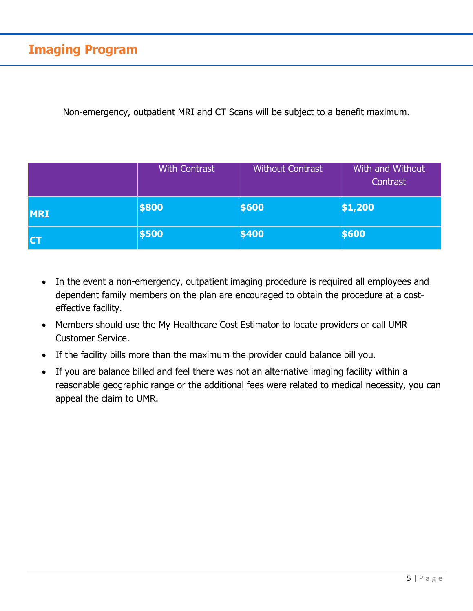Non-emergency, outpatient MRI and CT Scans will be subject to a benefit maximum.

|            | <b>With Contrast</b> | Without Contrast | With and Without<br>Contrast |
|------------|----------------------|------------------|------------------------------|
| <b>MRI</b> | \$800                | \$600            | \$1,200                      |
| <b>CT</b>  | \$500                | \$400            | \$600                        |

- In the event a non-emergency, outpatient imaging procedure is required all employees and dependent family members on the plan are encouraged to obtain the procedure at a costeffective facility.
- Members should use the My Healthcare Cost Estimator to locate providers or call UMR Customer Service.
- If the facility bills more than the maximum the provider could balance bill you.
- If you are balance billed and feel there was not an alternative imaging facility within a reasonable geographic range or the additional fees were related to medical necessity, you can appeal the claim to UMR.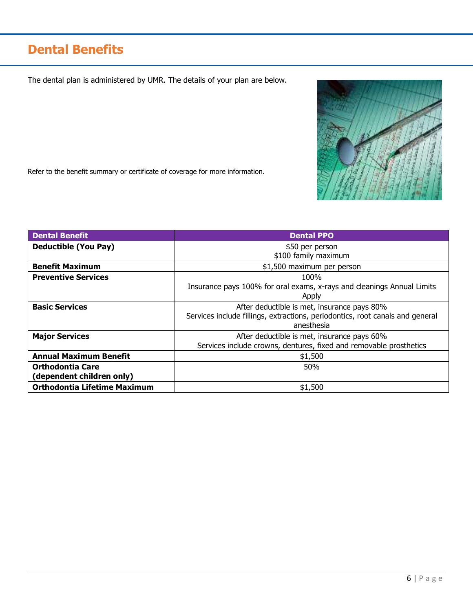### **Dental Benefits**

The dental plan is administered by UMR. The details of your plan are below.



| <b>Dental Benefit</b>               | <b>Dental PPO</b>                                                             |
|-------------------------------------|-------------------------------------------------------------------------------|
| <b>Deductible (You Pay)</b>         | \$50 per person                                                               |
|                                     | \$100 family maximum                                                          |
| <b>Benefit Maximum</b>              | \$1,500 maximum per person                                                    |
| <b>Preventive Services</b>          | 100%                                                                          |
|                                     | Insurance pays 100% for oral exams, x-rays and cleanings Annual Limits        |
|                                     | Apply                                                                         |
| <b>Basic Services</b>               | After deductible is met, insurance pays 80%                                   |
|                                     | Services include fillings, extractions, periodontics, root canals and general |
|                                     | anesthesia                                                                    |
| <b>Major Services</b>               | After deductible is met, insurance pays 60%                                   |
|                                     | Services include crowns, dentures, fixed and removable prosthetics            |
| <b>Annual Maximum Benefit</b>       | \$1,500                                                                       |
| <b>Orthodontia Care</b>             | 50%                                                                           |
| (dependent children only)           |                                                                               |
| <b>Orthodontia Lifetime Maximum</b> | \$1,500                                                                       |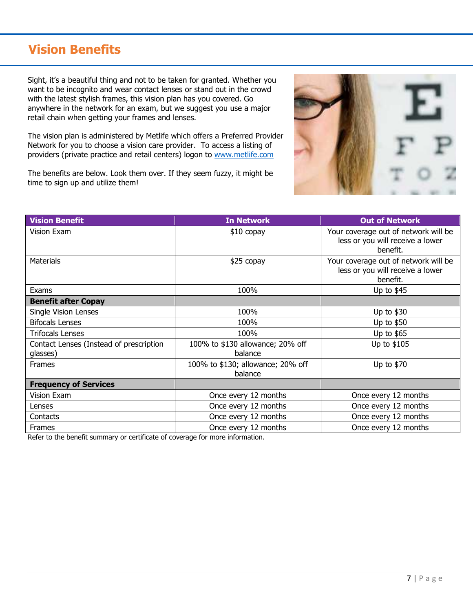### **Vision Benefits**

Sight, it's a beautiful thing and not to be taken for granted. Whether you want to be incognito and wear contact lenses or stand out in the crowd with the latest stylish frames, this vision plan has you covered. Go anywhere in the network for an exam, but we suggest you use a major retail chain when getting your frames and lenses.

The vision plan is administered by Metlife which offers a Preferred Provider Network for you to choose a vision care provider. To access a listing of providers (private practice and retail centers) logon to www.metlife.com

The benefits are below. Look them over. If they seem fuzzy, it might be time to sign up and utilize them!



| <b>Vision Benefit</b>                               | <b>In Network</b>                            | <b>Out of Network</b>                                                                |
|-----------------------------------------------------|----------------------------------------------|--------------------------------------------------------------------------------------|
| Vision Exam                                         | \$10 copay                                   | Your coverage out of network will be<br>less or you will receive a lower<br>benefit. |
| Materials                                           | \$25 copay                                   | Your coverage out of network will be<br>less or you will receive a lower<br>benefit. |
| Exams                                               | 100%                                         | Up to $$45$                                                                          |
| <b>Benefit after Copay</b>                          |                                              |                                                                                      |
| Single Vision Lenses                                | 100%                                         | Up to $$30$                                                                          |
| <b>Bifocals Lenses</b>                              | 100%                                         | Up to $$50$                                                                          |
| Trifocals Lenses                                    | 100%                                         | Up to $$65$                                                                          |
| Contact Lenses (Instead of prescription<br>glasses) | 100% to \$130 allowance; 20% off<br>balance  | Up to $$105$                                                                         |
| Frames                                              | 100% to \$130; allowance; 20% off<br>balance | Up to \$70                                                                           |
| <b>Frequency of Services</b>                        |                                              |                                                                                      |
| Vision Exam                                         | Once every 12 months                         | Once every 12 months                                                                 |
| Lenses                                              | Once every 12 months                         | Once every 12 months                                                                 |
| Contacts                                            | Once every 12 months                         | Once every 12 months                                                                 |
| <b>Frames</b>                                       | Once every 12 months                         | Once every 12 months                                                                 |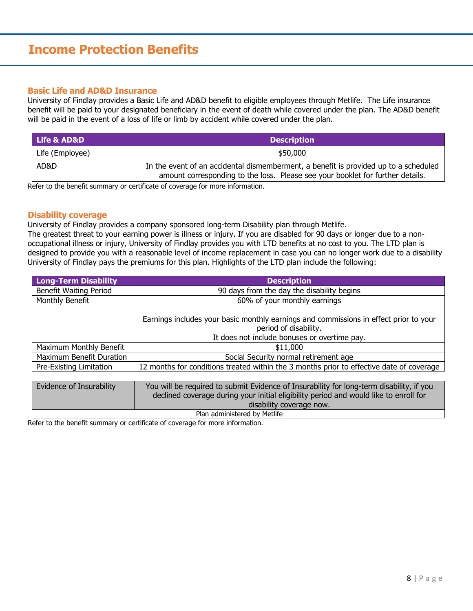### **Income Protection Benefits**

#### **Basic Life and AD&D Insurance**

University of Findlay provides a Basic Life and AD&D benefit to eligible employees through Metlife. The Life insurance benefit will be paid to your designated beneficiary in the event of death while covered under the plan. The AD&D benefit will be paid in the event of a loss of life or limb by accident while covered under the plan.

| Life & AD&D     | <b>Description</b>                                                                                                                                                     |
|-----------------|------------------------------------------------------------------------------------------------------------------------------------------------------------------------|
| Life (Employee) | \$50,000                                                                                                                                                               |
| AD&D            | In the event of an accidental dismemberment, a benefit is provided up to a scheduled<br>amount corresponding to the loss. Please see your booklet for further details. |

Refer to the benefit summary or certificate of coverage for more information.

#### **Disability coverage**

University of Findlay provides a company sponsored long-term Disability plan through Metlife.

The greatest threat to your earning power is illness or injury. If you are disabled for 90 days or longer due to a nonoccupational illness or injury, University of Findlay provides you with LTD benefits at no cost to you. The LTD plan is designed to provide you with a reasonable level of income replacement in case you can no longer work due to a disability University of Findlay pays the premiums for this plan. Highlights of the LTD plan include the following:

| <b>Long-Term Disability</b> | <b>Description</b>                                                                       |
|-----------------------------|------------------------------------------------------------------------------------------|
| Benefit Waiting Period      | 90 days from the day the disability begins                                               |
| Monthly Benefit             | 60% of your monthly earnings                                                             |
|                             |                                                                                          |
|                             | Earnings includes your basic monthly earnings and commissions in effect prior to your    |
|                             | period of disability.                                                                    |
|                             |                                                                                          |
| Maximum Monthly Benefit     | \$11,000                                                                                 |
| Maximum Benefit Duration    | Social Security normal retirement age                                                    |
| Pre-Existing Limitation     | 12 months for conditions treated within the 3 months prior to effective date of coverage |
|                             |                                                                                          |
| Evidence of Insurability    | You will be required to submit Evidence of Insurability for long-term disability, if you |
|                             | It does not include bonuses or overtime pay.                                             |

declined coverage during your initial eligibility period and would like to enroll for disability coverage now. Plan administered by Metlife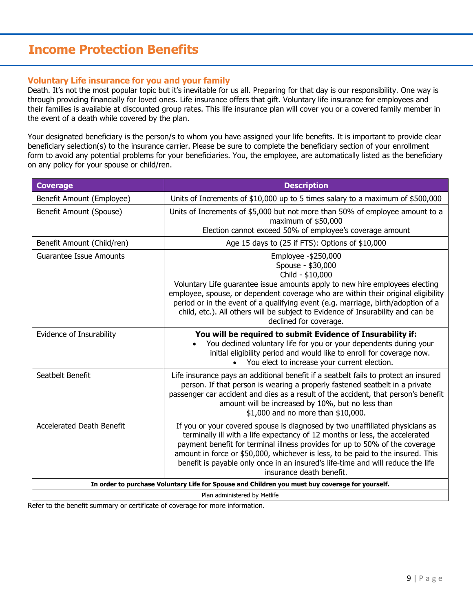### **Income Protection Benefits**

#### **Voluntary Life insurance for you and your family**

Death. It's not the most popular topic but it's inevitable for us all. Preparing for that day is our responsibility. One way is through providing financially for loved ones. Life insurance offers that gift. Voluntary life insurance for employees and their families is available at discounted group rates. This life insurance plan will cover you or a covered family member in the event of a death while covered by the plan.

Your designated beneficiary is the person/s to whom you have assigned your life benefits. It is important to provide clear beneficiary selection(s) to the insurance carrier. Please be sure to complete the beneficiary section of your enrollment form to avoid any potential problems for your beneficiaries. You, the employee, are automatically listed as the beneficiary on any policy for your spouse or child/ren.

| Units of Increments of \$10,000 up to 5 times salary to a maximum of \$500,000                                                                                                                                                                                                                                                                                                                                                               |
|----------------------------------------------------------------------------------------------------------------------------------------------------------------------------------------------------------------------------------------------------------------------------------------------------------------------------------------------------------------------------------------------------------------------------------------------|
|                                                                                                                                                                                                                                                                                                                                                                                                                                              |
| Units of Increments of \$5,000 but not more than 50% of employee amount to a<br>maximum of \$50,000<br>Election cannot exceed 50% of employee's coverage amount                                                                                                                                                                                                                                                                              |
| Age 15 days to (25 if FTS): Options of \$10,000                                                                                                                                                                                                                                                                                                                                                                                              |
| Employee -\$250,000<br>Spouse - \$30,000<br>Child - \$10,000<br>Voluntary Life guarantee issue amounts apply to new hire employees electing<br>employee, spouse, or dependent coverage who are within their original eligibility<br>period or in the event of a qualifying event (e.g. marriage, birth/adoption of a<br>child, etc.). All others will be subject to Evidence of Insurability and can be<br>declined for coverage.            |
| You will be required to submit Evidence of Insurability if:<br>You declined voluntary life for you or your dependents during your<br>initial eligibility period and would like to enroll for coverage now.<br>You elect to increase your current election.                                                                                                                                                                                   |
| Life insurance pays an additional benefit if a seatbelt fails to protect an insured<br>person. If that person is wearing a properly fastened seatbelt in a private<br>passenger car accident and dies as a result of the accident, that person's benefit<br>amount will be increased by 10%, but no less than<br>\$1,000 and no more than \$10,000.                                                                                          |
| If you or your covered spouse is diagnosed by two unaffiliated physicians as<br>terminally ill with a life expectancy of 12 months or less, the accelerated<br>payment benefit for terminal illness provides for up to 50% of the coverage<br>amount in force or \$50,000, whichever is less, to be paid to the insured. This<br>benefit is payable only once in an insured's life-time and will reduce the life<br>insurance death benefit. |
| In order to purchase Voluntary Life for Spouse and Children you must buy coverage for yourself.                                                                                                                                                                                                                                                                                                                                              |
|                                                                                                                                                                                                                                                                                                                                                                                                                                              |

Plan administered by Metlife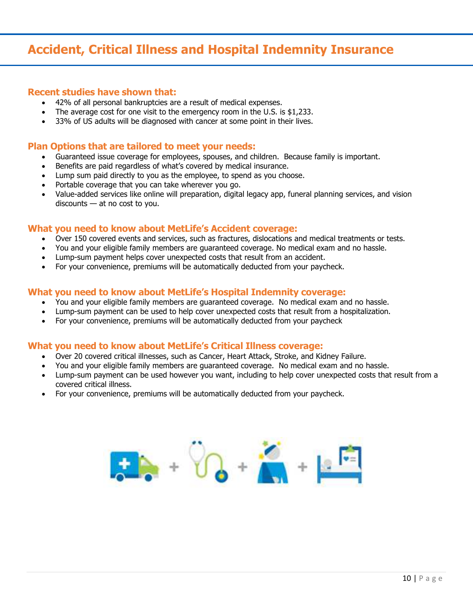### **Accident, Critical Illness and Hospital Indemnity Insurance**

#### **Recent studies have shown that:**

- 42% of all personal bankruptcies are a result of medical expenses.
- The average cost for one visit to the emergency room in the U.S. is \$1.233.
- 33% of US adults will be diagnosed with cancer at some point in their lives.

#### **Plan Options that are tailored to meet your needs:**

- Guaranteed issue coverage for employees, spouses, and children. Because family is important.
- Benefits are paid regardless of what's covered by medical insurance.
- Lump sum paid directly to you as the employee, to spend as you choose.
- Portable coverage that you can take wherever you go.
- Value-added services like online will preparation, digital legacy app, funeral planning services, and vision discounts — at no cost to you.

#### **What you need to know about MetLife's Accident coverage:**

- Over 150 covered events and services, such as fractures, dislocations and medical treatments or tests.
- You and your eligible family members are guaranteed coverage. No medical exam and no hassle.
- Lump-sum payment helps cover unexpected costs that result from an accident.
- For your convenience, premiums will be automatically deducted from your paycheck.

#### **What you need to know about MetLife's Hospital Indemnity coverage:**

- You and your eligible family members are guaranteed coverage. No medical exam and no hassle.
- Lump-sum payment can be used to help cover unexpected costs that result from a hospitalization.
- For your convenience, premiums will be automatically deducted from your paycheck

#### **What you need to know about MetLife's Critical Illness coverage:**

- Over 20 covered critical illnesses, such as Cancer, Heart Attack, Stroke, and Kidney Failure.
- You and your eligible family members are guaranteed coverage. No medical exam and no hassle.
- Lump-sum payment can be used however you want, including to help cover unexpected costs that result from a covered critical illness.
- For your convenience, premiums will be automatically deducted from your paycheck.

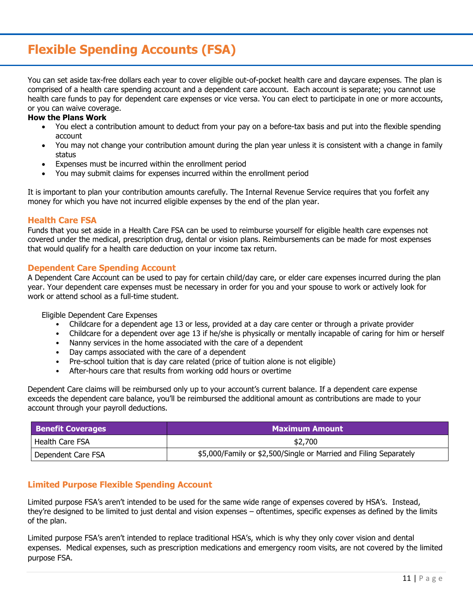### **Flexible Spending Accounts (FSA)**

You can set aside tax-free dollars each year to cover eligible out-of-pocket health care and daycare expenses. The plan is comprised of a health care spending account and a dependent care account. Each account is separate; you cannot use health care funds to pay for dependent care expenses or vice versa. You can elect to participate in one or more accounts, or you can waive coverage.

#### **How the Plans Work**

- You elect a contribution amount to deduct from your pay on a before-tax basis and put into the flexible spending account
- You may not change your contribution amount during the plan year unless it is consistent with a change in family status
- Expenses must be incurred within the enrollment period
- You may submit claims for expenses incurred within the enrollment period

It is important to plan your contribution amounts carefully. The Internal Revenue Service requires that you forfeit any money for which you have not incurred eligible expenses by the end of the plan year.

#### **Health Care FSA**

Funds that you set aside in a Health Care FSA can be used to reimburse yourself for eligible health care expenses not covered under the medical, prescription drug, dental or vision plans. Reimbursements can be made for most expenses that would qualify for a health care deduction on your income tax return.

#### **Dependent Care Spending Account**

A Dependent Care Account can be used to pay for certain child/day care, or elder care expenses incurred during the plan year. Your dependent care expenses must be necessary in order for you and your spouse to work or actively look for work or attend school as a full-time student.

Eligible Dependent Care Expenses

- Childcare for a dependent age 13 or less, provided at a day care center or through a private provider
- Childcare for a dependent over age 13 if he/she is physically or mentally incapable of caring for him or herself
- Nanny services in the home associated with the care of a dependent
- Day camps associated with the care of a dependent
- Pre-school tuition that is day care related (price of tuition alone is not eligible)
- After-hours care that results from working odd hours or overtime

Dependent Care claims will be reimbursed only up to your account's current balance. If a dependent care expense exceeds the dependent care balance, you'll be reimbursed the additional amount as contributions are made to your account through your payroll deductions.

| <b>Benefit Coverages</b> | <b>Maximum Amount</b>                                             |
|--------------------------|-------------------------------------------------------------------|
| Health Care FSA          | \$2,700                                                           |
| Dependent Care FSA       | \$5,000/Family or \$2,500/Single or Married and Filing Separately |

#### **Limited Purpose Flexible Spending Account**

Limited purpose FSA's aren't intended to be used for the same wide range of expenses covered by HSA's. Instead, they're designed to be limited to just dental and vision expenses – oftentimes, specific expenses as defined by the limits of the plan.

Limited purpose FSA's aren't intended to replace traditional HSA's, which is why they only cover vision and dental expenses. Medical expenses, such as prescription medications and emergency room visits, are not covered by the limited purpose FSA.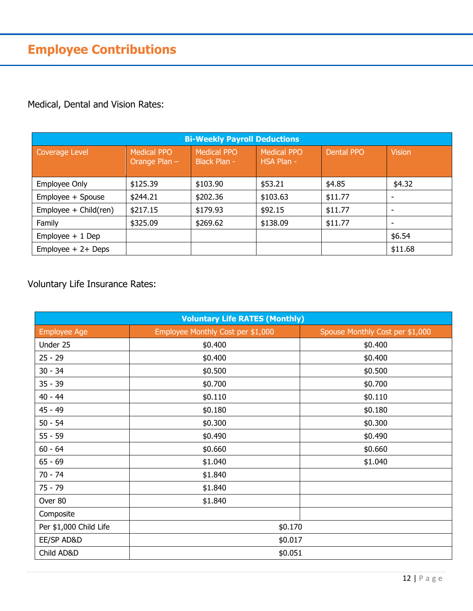Medical, Dental and Vision Rates:

|                       | <b>Bi-Weekly Payroll Deductions</b> |                                           |                                  |                   |                          |  |
|-----------------------|-------------------------------------|-------------------------------------------|----------------------------------|-------------------|--------------------------|--|
| Coverage Level        | <b>Medical PPO</b><br>Orange Plan - | <b>Medical PPO</b><br><b>Black Plan -</b> | <b>Medical PPO</b><br>HSA Plan - | <b>Dental PPO</b> | <b>Vision</b>            |  |
| Employee Only         | \$125.39                            | \$103.90                                  | \$53.21                          | \$4.85            | \$4.32                   |  |
| Employee + Spouse     | \$244.21                            | \$202.36                                  | \$103.63                         | \$11.77           | $\overline{\phantom{a}}$ |  |
| Employee + Child(ren) | \$217.15                            | \$179.93                                  | \$92.15                          | \$11.77           | $\overline{\phantom{a}}$ |  |
| Family                | \$325.09                            | \$269.62                                  | \$138.09                         | \$11.77           | $\overline{\phantom{a}}$ |  |
| Employee $+1$ Dep     |                                     |                                           |                                  |                   | \$6.54                   |  |
| Employee $+2+$ Deps   |                                     |                                           |                                  |                   | \$11.68                  |  |

Voluntary Life Insurance Rates:

|                        | <b>Voluntary Life RATES (Monthly)</b> |                                 |
|------------------------|---------------------------------------|---------------------------------|
| <b>Employee Age</b>    | Employee Monthly Cost per \$1,000     | Spouse Monthly Cost per \$1,000 |
| Under 25               | \$0.400                               | \$0.400                         |
| $25 - 29$              | \$0.400                               | \$0.400                         |
| $30 - 34$              | \$0.500                               | \$0.500                         |
| $35 - 39$              | \$0.700                               | \$0.700                         |
| $40 - 44$              | \$0.110                               | \$0.110                         |
| $45 - 49$              | \$0.180                               | \$0.180                         |
| $50 - 54$              | \$0.300                               | \$0.300                         |
| $55 - 59$              | \$0.490                               | \$0.490                         |
| $60 - 64$              | \$0.660                               | \$0.660                         |
| $65 - 69$              | \$1.040                               | \$1.040                         |
| $70 - 74$              | \$1.840                               |                                 |
| $75 - 79$              | \$1.840                               |                                 |
| Over 80                | \$1.840                               |                                 |
| Composite              |                                       |                                 |
| Per \$1,000 Child Life | \$0.170                               |                                 |
| EE/SP AD&D             | \$0.017                               |                                 |
| Child AD&D             | \$0.051                               |                                 |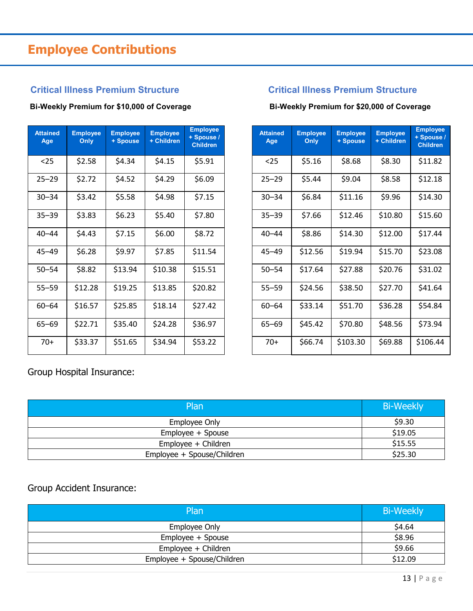#### **Bi-Weekly Premium for \$10,000 of Coverage Bi-Weekly Premium for \$20,000 of Coverage**

| <b>Attained</b><br>Age | <b>Employee</b><br>Only | <b>Employee</b><br>+ Spouse | <b>Employee</b><br>+ Children | <b>Employee</b><br>+ Spouse /<br><b>Children</b> |
|------------------------|-------------------------|-----------------------------|-------------------------------|--------------------------------------------------|
| 25                     | \$2.58                  | \$4.34                      | \$4.15                        | \$5.91                                           |
| $25 - 29$              | \$2.72                  | \$4.52                      | \$4.29                        | \$6.09                                           |
| $30 - 34$              | \$3.42                  | \$5.58                      | \$4.98                        | \$7.15                                           |
| $35 - 39$              | \$3.83                  | \$6.23                      | \$5.40                        | \$7.80                                           |
| 40–44                  | \$4.43                  | \$7.15                      | \$6.00                        | \$8.72                                           |
| $45 - 49$              | \$6.28                  | \$9.97                      | \$7.85                        | \$11.54                                          |
| $50 - 54$              | \$8.82                  | \$13.94                     | \$10.38                       | \$15.51                                          |
| $55 - 59$              | \$12.28                 | \$19.25                     | \$13.85                       | \$20.82                                          |
| $60 - 64$              | \$16.57                 | \$25.85                     | \$18.14                       | \$27.42                                          |
| 65-69                  | \$22.71                 | \$35.40                     | \$24.28                       | \$36.97                                          |
| 70+                    | \$33.37                 | \$51.65                     | \$34.94                       | \$53.22                                          |

#### **Critical Illness Premium Structure Critical Illness Premium Structure**

| <b>Attained</b><br>Age | <b>Employee</b><br>Only | <b>Employee</b><br>+ Spouse | <b>Employee</b><br>+ Children | <b>Employee</b><br>+ Spouse /<br><b>Children</b> | <b>Attained</b><br>Age | <b>Employee</b><br>Only | <b>Employee</b><br>+ Spouse | <b>Employee</b><br>+ Children | <b>Employee</b><br>+ Spouse /<br><b>Children</b> |
|------------------------|-------------------------|-----------------------------|-------------------------------|--------------------------------------------------|------------------------|-------------------------|-----------------------------|-------------------------------|--------------------------------------------------|
| $<$ 25                 | \$2.58                  | \$4.34                      | \$4.15                        | \$5.91                                           | $25$                   | \$5.16                  | \$8.68                      | \$8.30                        | \$11.82                                          |
| $25 - 29$              | \$2.72                  | \$4.52                      | \$4.29                        | \$6.09                                           | $25 - 29$              | \$5.44                  | \$9.04                      | \$8.58                        | \$12.18                                          |
| $30 - 34$              | \$3.42                  | \$5.58                      | \$4.98                        | \$7.15                                           | $30 - 34$              | \$6.84                  | \$11.16                     | \$9.96                        | \$14.30                                          |
| $35 - 39$              | \$3.83                  | \$6.23                      | \$5.40                        | \$7.80                                           | $35 - 39$              | \$7.66                  | \$12.46                     | \$10.80                       | \$15.60                                          |
| $40 - 44$              | \$4.43                  | \$7.15                      | \$6.00                        | \$8.72                                           | $40 - 44$              | \$8.86                  | \$14.30                     | \$12.00                       | \$17.44                                          |
| 45-49                  | \$6.28                  | \$9.97                      | \$7.85                        | \$11.54                                          | $45 - 49$              | \$12.56                 | \$19.94                     | \$15.70                       | \$23.08                                          |
| $50 - 54$              | \$8.82                  | \$13.94                     | \$10.38                       | \$15.51                                          | $50 - 54$              | \$17.64                 | \$27.88                     | \$20.76                       | \$31.02                                          |
| $55 - 59$              | \$12.28                 | \$19.25                     | \$13.85                       | \$20.82                                          | $55 - 59$              | \$24.56                 | \$38.50                     | \$27.70                       | \$41.64                                          |
| $60 - 64$              | \$16.57                 | \$25.85                     | \$18.14                       | \$27.42                                          | $60 - 64$              | \$33.14                 | \$51.70                     | \$36.28                       | \$54.84                                          |
| $65 - 69$              | \$22.71                 | \$35.40                     | \$24.28                       | \$36.97                                          | $65 - 69$              | \$45.42                 | \$70.80                     | \$48.56                       | \$73.94                                          |
| $70+$                  | \$33.37                 | \$51.65                     | \$34.94                       | \$53.22                                          | $70+$                  | \$66.74                 | \$103.30                    | \$69.88                       | \$106.44                                         |

Group Hospital Insurance:

| Plan                       | <b>Bi-Weekly</b> |
|----------------------------|------------------|
| Employee Only              | \$9.30           |
| Employee + Spouse          | \$19.05          |
| Employee + Children        | \$15.55          |
| Employee + Spouse/Children | \$25.30          |

#### Group Accident Insurance:

| Plan                       | <b>Bi-Weekly</b> |
|----------------------------|------------------|
| Employee Only              | \$4.64           |
| Employee + Spouse          | \$8.96           |
| Employee + Children        | \$9.66           |
| Employee + Spouse/Children | \$12.09          |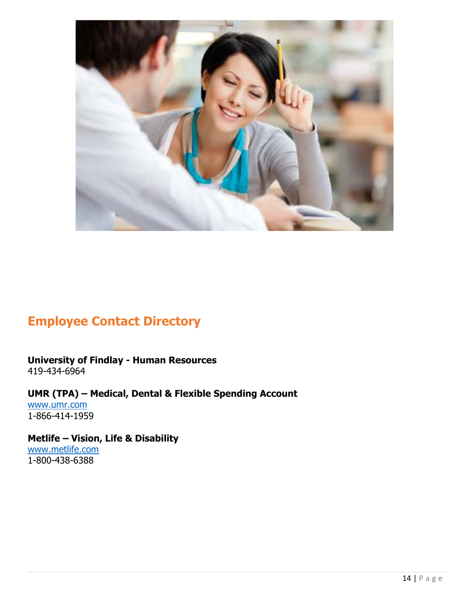

### **Employee Contact Directory**

#### **University of Findlay - Human Resources**  419-434-6964

### **UMR (TPA) – Medical, Dental & Flexible Spending Account**

www.umr.com 1-866-414-1959

**Metlife – Vision, Life & Disability**  www.metlife.com 1-800-438-6388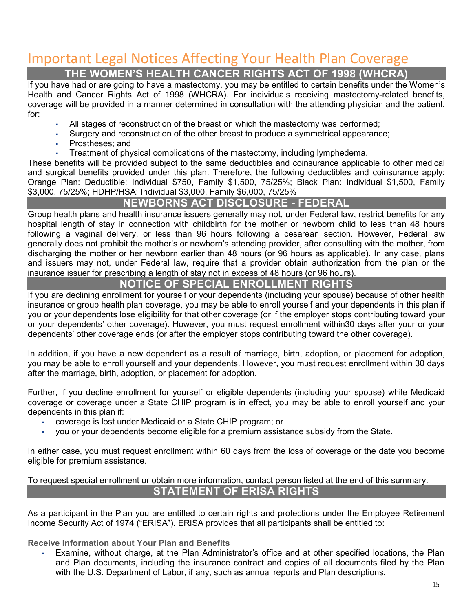## Important Legal Notices Affecting Your Health Plan Coverage

### **THE WOMEN'S HEALTH CANCER RIGHTS ACT OF 1998 (WHCRA)**

If you have had or are going to have a mastectomy, you may be entitled to certain benefits under the Women's Health and Cancer Rights Act of 1998 (WHCRA). For individuals receiving mastectomy-related benefits, coverage will be provided in a manner determined in consultation with the attending physician and the patient, for:

- All stages of reconstruction of the breast on which the mastectomy was performed;
- Surgery and reconstruction of the other breast to produce a symmetrical appearance;
- Prostheses; and
- Treatment of physical complications of the mastectomy, including lymphedema.

These benefits will be provided subject to the same deductibles and coinsurance applicable to other medical and surgical benefits provided under this plan. Therefore, the following deductibles and coinsurance apply: Orange Plan: Deductible: Individual \$750, Family \$1,500, 75/25%; Black Plan: Individual \$1,500, Family \$3,000, 75/25%; HDHP/HSA: Individual \$3,000, Family \$6,000, 75/25%

#### **NEWBORNS ACT DISCLOSURE - FEDERAL**

Group health plans and health insurance issuers generally may not, under Federal law, restrict benefits for any hospital length of stay in connection with childbirth for the mother or newborn child to less than 48 hours following a vaginal delivery, or less than 96 hours following a cesarean section. However, Federal law generally does not prohibit the mother's or newborn's attending provider, after consulting with the mother, from discharging the mother or her newborn earlier than 48 hours (or 96 hours as applicable). In any case, plans and issuers may not, under Federal law, require that a provider obtain authorization from the plan or the insurance issuer for prescribing a length of stay not in excess of 48 hours (or 96 hours).

#### **NOTICE OF SPECIAL ENROLLMENT RIGHTS**

If you are declining enrollment for yourself or your dependents (including your spouse) because of other health insurance or group health plan coverage, you may be able to enroll yourself and your dependents in this plan if you or your dependents lose eligibility for that other coverage (or if the employer stops contributing toward your or your dependents' other coverage). However, you must request enrollment within30 days after your or your dependents' other coverage ends (or after the employer stops contributing toward the other coverage).

In addition, if you have a new dependent as a result of marriage, birth, adoption, or placement for adoption, you may be able to enroll yourself and your dependents. However, you must request enrollment within 30 days after the marriage, birth, adoption, or placement for adoption.

Further, if you decline enrollment for yourself or eligible dependents (including your spouse) while Medicaid coverage or coverage under a State CHIP program is in effect, you may be able to enroll yourself and your dependents in this plan if:

- coverage is lost under Medicaid or a State CHIP program; or
- you or your dependents become eligible for a premium assistance subsidy from the State.

In either case, you must request enrollment within 60 days from the loss of coverage or the date you become eligible for premium assistance.

To request special enrollment or obtain more information, contact person listed at the end of this summary.

#### **STATEMENT OF ERISA RIGHTS**

As a participant in the Plan you are entitled to certain rights and protections under the Employee Retirement Income Security Act of 1974 ("ERISA"). ERISA provides that all participants shall be entitled to:

**Receive Information about Your Plan and Benefits** 

 Examine, without charge, at the Plan Administrator's office and at other specified locations, the Plan and Plan documents, including the insurance contract and copies of all documents filed by the Plan with the U.S. Department of Labor, if any, such as annual reports and Plan descriptions.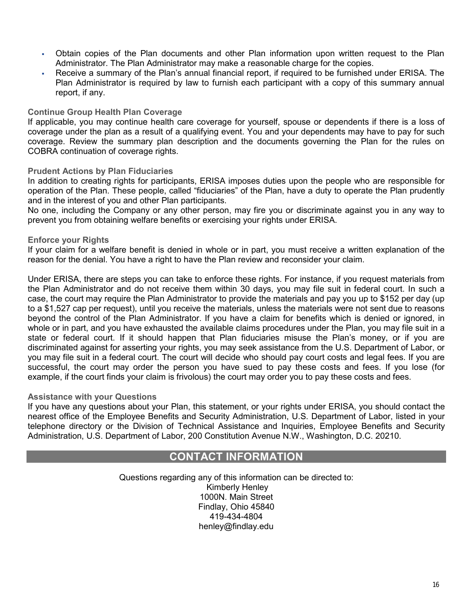- Obtain copies of the Plan documents and other Plan information upon written request to the Plan Administrator. The Plan Administrator may make a reasonable charge for the copies.
- Receive a summary of the Plan's annual financial report, if required to be furnished under ERISA. The Plan Administrator is required by law to furnish each participant with a copy of this summary annual report, if any.

#### **Continue Group Health Plan Coverage**

If applicable, you may continue health care coverage for yourself, spouse or dependents if there is a loss of coverage under the plan as a result of a qualifying event. You and your dependents may have to pay for such coverage. Review the summary plan description and the documents governing the Plan for the rules on COBRA continuation of coverage rights.

#### **Prudent Actions by Plan Fiduciaries**

In addition to creating rights for participants, ERISA imposes duties upon the people who are responsible for operation of the Plan. These people, called "fiduciaries" of the Plan, have a duty to operate the Plan prudently and in the interest of you and other Plan participants.

No one, including the Company or any other person, may fire you or discriminate against you in any way to prevent you from obtaining welfare benefits or exercising your rights under ERISA.

#### **Enforce your Rights**

If your claim for a welfare benefit is denied in whole or in part, you must receive a written explanation of the reason for the denial. You have a right to have the Plan review and reconsider your claim.

Under ERISA, there are steps you can take to enforce these rights. For instance, if you request materials from the Plan Administrator and do not receive them within 30 days, you may file suit in federal court. In such a case, the court may require the Plan Administrator to provide the materials and pay you up to \$152 per day (up to a \$1,527 cap per request), until you receive the materials, unless the materials were not sent due to reasons beyond the control of the Plan Administrator. If you have a claim for benefits which is denied or ignored, in whole or in part, and you have exhausted the available claims procedures under the Plan, you may file suit in a state or federal court. If it should happen that Plan fiduciaries misuse the Plan's money, or if you are discriminated against for asserting your rights, you may seek assistance from the U.S. Department of Labor, or you may file suit in a federal court. The court will decide who should pay court costs and legal fees. If you are successful, the court may order the person you have sued to pay these costs and fees. If you lose (for example, if the court finds your claim is frivolous) the court may order you to pay these costs and fees.

#### **Assistance with your Questions**

If you have any questions about your Plan, this statement, or your rights under ERISA, you should contact the nearest office of the Employee Benefits and Security Administration, U.S. Department of Labor, listed in your telephone directory or the Division of Technical Assistance and Inquiries, Employee Benefits and Security Administration, U.S. Department of Labor, 200 Constitution Avenue N.W., Washington, D.C. 20210.

#### **CONTACT INFORMATION**

Questions regarding any of this information can be directed to: Kimberly Henley 1000N. Main Street Findlay, Ohio 45840 419-434-4804 henley@findlay.edu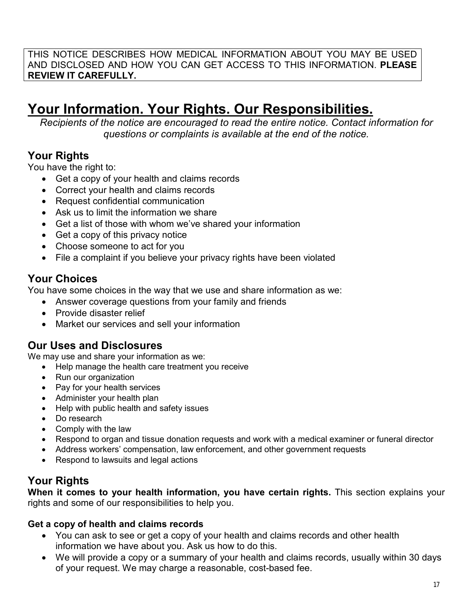THIS NOTICE DESCRIBES HOW MEDICAL INFORMATION ABOUT YOU MAY BE USED AND DISCLOSED AND HOW YOU CAN GET ACCESS TO THIS INFORMATION. **PLEASE REVIEW IT CAREFULLY.**

### **Your Information. Your Rights. Our Responsibilities.**

*Recipients of the notice are encouraged to read the entire notice. Contact information for questions or complaints is available at the end of the notice.* 

### **Your Rights**

You have the right to:

- Get a copy of your health and claims records
- Correct your health and claims records
- Request confidential communication
- Ask us to limit the information we share
- Get a list of those with whom we've shared your information
- Get a copy of this privacy notice
- Choose someone to act for you
- File a complaint if you believe your privacy rights have been violated

### **Your Choices**

You have some choices in the way that we use and share information as we:

- Answer coverage questions from your family and friends
- Provide disaster relief
- Market our services and sell your information

#### **Our Uses and Disclosures**

We may use and share your information as we:

- Help manage the health care treatment you receive
- Run our organization
- Pay for your health services
- Administer your health plan
- Help with public health and safety issues
- Do research
- Comply with the law
- Respond to organ and tissue donation requests and work with a medical examiner or funeral director
- Address workers' compensation, law enforcement, and other government requests
- Respond to lawsuits and legal actions

#### **Your Rights**

**When it comes to your health information, you have certain rights.** This section explains your rights and some of our responsibilities to help you.

#### **Get a copy of health and claims records**

- You can ask to see or get a copy of your health and claims records and other health information we have about you. Ask us how to do this.
- We will provide a copy or a summary of your health and claims records, usually within 30 days of your request. We may charge a reasonable, cost-based fee.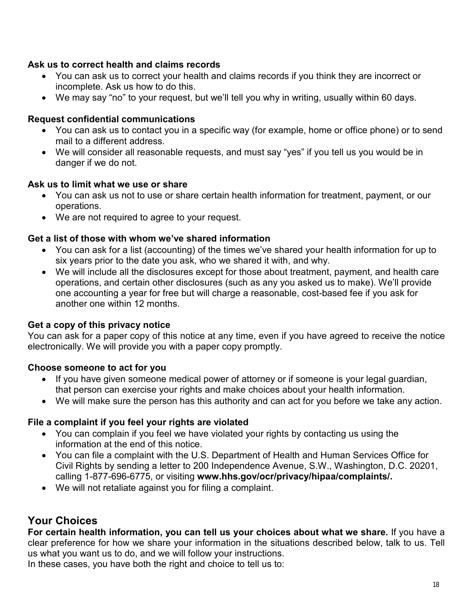#### **Ask us to correct health and claims records**

- You can ask us to correct your health and claims records if you think they are incorrect or incomplete. Ask us how to do this.
- We may say "no" to your request, but we'll tell you why in writing, usually within 60 days.

#### **Request confidential communications**

- You can ask us to contact you in a specific way (for example, home or office phone) or to send mail to a different address.
- We will consider all reasonable requests, and must say "yes" if you tell us you would be in danger if we do not.

#### **Ask us to limit what we use or share**

- You can ask us not to use or share certain health information for treatment, payment, or our operations.
- We are not required to agree to your request.

#### **Get a list of those with whom we've shared information**

- You can ask for a list (accounting) of the times we've shared your health information for up to six years prior to the date you ask, who we shared it with, and why.
- We will include all the disclosures except for those about treatment, payment, and health care operations, and certain other disclosures (such as any you asked us to make). We'll provide one accounting a year for free but will charge a reasonable, cost-based fee if you ask for another one within 12 months.

#### **Get a copy of this privacy notice**

You can ask for a paper copy of this notice at any time, even if you have agreed to receive the notice electronically. We will provide you with a paper copy promptly.

#### **Choose someone to act for you**

- If you have given someone medical power of attorney or if someone is your legal guardian, that person can exercise your rights and make choices about your health information.
- We will make sure the person has this authority and can act for you before we take any action.

#### **File a complaint if you feel your rights are violated**

- You can complain if you feel we have violated your rights by contacting us using the information at the end of this notice.
- You can file a complaint with the U.S. Department of Health and Human Services Office for Civil Rights by sending a letter to 200 Independence Avenue, S.W., Washington, D.C. 20201, calling 1-877-696-6775, or visiting **www.hhs.gov/ocr/privacy/hipaa/complaints/.**
- We will not retaliate against you for filing a complaint.

#### **Your Choices**

**For certain health information, you can tell us your choices about what we share.** If you have a clear preference for how we share your information in the situations described below, talk to us. Tell us what you want us to do, and we will follow your instructions.

In these cases, you have both the right and choice to tell us to: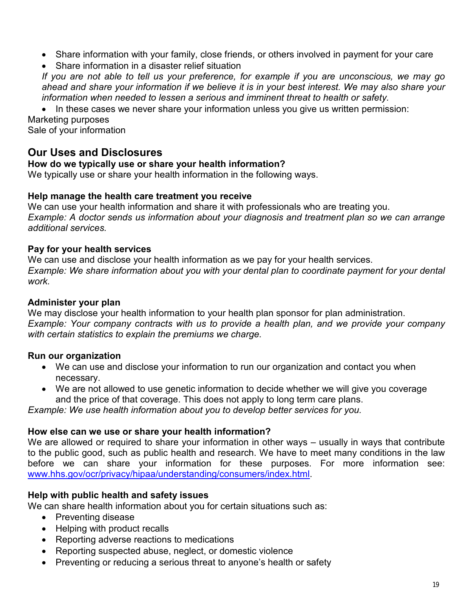- Share information with your family, close friends, or others involved in payment for your care
- Share information in a disaster relief situation

*If you are not able to tell us your preference, for example if you are unconscious, we may go ahead and share your information if we believe it is in your best interest. We may also share your information when needed to lessen a serious and imminent threat to health or safety.* 

• In these cases we never share your information unless you give us written permission: Marketing purposes

Sale of your information

#### **Our Uses and Disclosures**

#### **How do we typically use or share your health information?**

We typically use or share your health information in the following ways.

#### **Help manage the health care treatment you receive**

We can use your health information and share it with professionals who are treating you. *Example: A doctor sends us information about your diagnosis and treatment plan so we can arrange additional services.* 

#### **Pay for your health services**

We can use and disclose your health information as we pay for your health services. *Example: We share information about you with your dental plan to coordinate payment for your dental work.* 

#### **Administer your plan**

We may disclose your health information to your health plan sponsor for plan administration. *Example: Your company contracts with us to provide a health plan, and we provide your company with certain statistics to explain the premiums we charge.* 

#### **Run our organization**

- We can use and disclose your information to run our organization and contact you when necessary.
- We are not allowed to use genetic information to decide whether we will give you coverage and the price of that coverage. This does not apply to long term care plans.

*Example: We use health information about you to develop better services for you.* 

#### **How else can we use or share your health information?**

We are allowed or required to share your information in other ways – usually in ways that contribute to the public good, such as public health and research. We have to meet many conditions in the law before we can share your information for these purposes. For more information see: www.hhs.gov/ocr/privacy/hipaa/understanding/consumers/index.html.

#### **Help with public health and safety issues**

We can share health information about you for certain situations such as:

- Preventing disease
- Helping with product recalls
- Reporting adverse reactions to medications
- Reporting suspected abuse, neglect, or domestic violence
- Preventing or reducing a serious threat to anyone's health or safety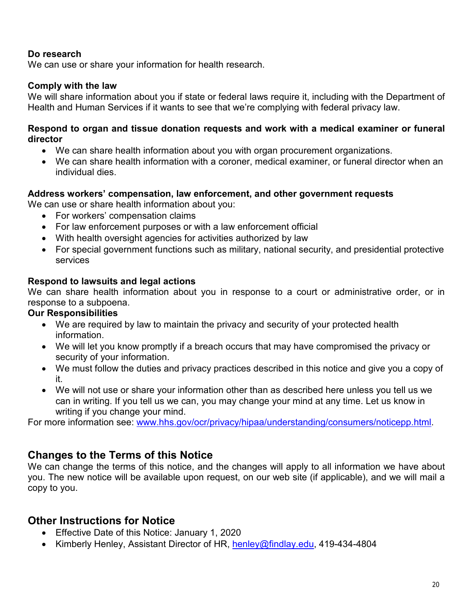#### **Do research**

We can use or share your information for health research.

#### **Comply with the law**

We will share information about you if state or federal laws require it, including with the Department of Health and Human Services if it wants to see that we're complying with federal privacy law.

#### **Respond to organ and tissue donation requests and work with a medical examiner or funeral director**

- We can share health information about you with organ procurement organizations.
- We can share health information with a coroner, medical examiner, or funeral director when an individual dies.

#### **Address workers' compensation, law enforcement, and other government requests**

We can use or share health information about you:

- For workers' compensation claims
- For law enforcement purposes or with a law enforcement official
- With health oversight agencies for activities authorized by law
- For special government functions such as military, national security, and presidential protective services

#### **Respond to lawsuits and legal actions**

We can share health information about you in response to a court or administrative order, or in response to a subpoena.

#### **Our Responsibilities**

- We are required by law to maintain the privacy and security of your protected health information.
- We will let you know promptly if a breach occurs that may have compromised the privacy or security of your information.
- We must follow the duties and privacy practices described in this notice and give you a copy of it.
- We will not use or share your information other than as described here unless you tell us we can in writing. If you tell us we can, you may change your mind at any time. Let us know in writing if you change your mind.

For more information see: www.hhs.gov/ocr/privacy/hipaa/understanding/consumers/noticepp.html.

#### **Changes to the Terms of this Notice**

We can change the terms of this notice, and the changes will apply to all information we have about you. The new notice will be available upon request, on our web site (if applicable), and we will mail a copy to you.

#### **Other Instructions for Notice**

- Effective Date of this Notice: January 1, 2020
- Kimberly Henley, Assistant Director of HR, henley@findlay.edu, 419-434-4804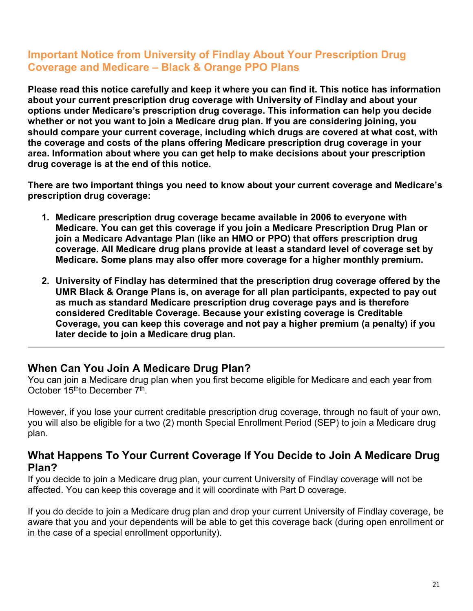#### **Important Notice from University of Findlay About Your Prescription Drug Coverage and Medicare – Black & Orange PPO Plans**

**Please read this notice carefully and keep it where you can find it. This notice has information about your current prescription drug coverage with University of Findlay and about your options under Medicare's prescription drug coverage. This information can help you decide whether or not you want to join a Medicare drug plan. If you are considering joining, you should compare your current coverage, including which drugs are covered at what cost, with the coverage and costs of the plans offering Medicare prescription drug coverage in your area. Information about where you can get help to make decisions about your prescription drug coverage is at the end of this notice.** 

**There are two important things you need to know about your current coverage and Medicare's prescription drug coverage:** 

- **1. Medicare prescription drug coverage became available in 2006 to everyone with Medicare. You can get this coverage if you join a Medicare Prescription Drug Plan or join a Medicare Advantage Plan (like an HMO or PPO) that offers prescription drug coverage. All Medicare drug plans provide at least a standard level of coverage set by Medicare. Some plans may also offer more coverage for a higher monthly premium.**
- **2. University of Findlay has determined that the prescription drug coverage offered by the UMR Black & Orange Plans is, on average for all plan participants, expected to pay out as much as standard Medicare prescription drug coverage pays and is therefore considered Creditable Coverage. Because your existing coverage is Creditable Coverage, you can keep this coverage and not pay a higher premium (a penalty) if you later decide to join a Medicare drug plan.**

#### **When Can You Join A Medicare Drug Plan?**

You can join a Medicare drug plan when you first become eligible for Medicare and each year from October 15<sup>th</sup>to December 7<sup>th</sup>.

However, if you lose your current creditable prescription drug coverage, through no fault of your own, you will also be eligible for a two (2) month Special Enrollment Period (SEP) to join a Medicare drug plan.

#### **What Happens To Your Current Coverage If You Decide to Join A Medicare Drug Plan?**

If you decide to join a Medicare drug plan, your current University of Findlay coverage will not be affected. You can keep this coverage and it will coordinate with Part D coverage.

If you do decide to join a Medicare drug plan and drop your current University of Findlay coverage, be aware that you and your dependents will be able to get this coverage back (during open enrollment or in the case of a special enrollment opportunity).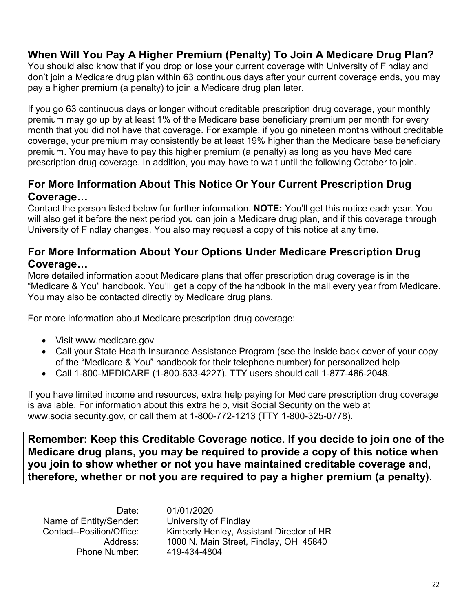### **When Will You Pay A Higher Premium (Penalty) To Join A Medicare Drug Plan?**

You should also know that if you drop or lose your current coverage with University of Findlay and don't join a Medicare drug plan within 63 continuous days after your current coverage ends, you may pay a higher premium (a penalty) to join a Medicare drug plan later.

If you go 63 continuous days or longer without creditable prescription drug coverage, your monthly premium may go up by at least 1% of the Medicare base beneficiary premium per month for every month that you did not have that coverage. For example, if you go nineteen months without creditable coverage, your premium may consistently be at least 19% higher than the Medicare base beneficiary premium. You may have to pay this higher premium (a penalty) as long as you have Medicare prescription drug coverage. In addition, you may have to wait until the following October to join.

#### **For More Information About This Notice Or Your Current Prescription Drug Coverage…**

Contact the person listed below for further information. **NOTE:** You'll get this notice each year. You will also get it before the next period you can join a Medicare drug plan, and if this coverage through University of Findlay changes. You also may request a copy of this notice at any time.

#### **For More Information About Your Options Under Medicare Prescription Drug Coverage…**

More detailed information about Medicare plans that offer prescription drug coverage is in the "Medicare & You" handbook. You'll get a copy of the handbook in the mail every year from Medicare. You may also be contacted directly by Medicare drug plans.

For more information about Medicare prescription drug coverage:

- Visit www.medicare.gov
- Call your State Health Insurance Assistance Program (see the inside back cover of your copy of the "Medicare & You" handbook for their telephone number) for personalized help
- Call 1-800-MEDICARE (1-800-633-4227). TTY users should call 1-877-486-2048.

If you have limited income and resources, extra help paying for Medicare prescription drug coverage is available. For information about this extra help, visit Social Security on the web at www.socialsecurity.gov, or call them at 1-800-772-1213 (TTY 1-800-325-0778).

**Remember: Keep this Creditable Coverage notice. If you decide to join one of the Medicare drug plans, you may be required to provide a copy of this notice when you join to show whether or not you have maintained creditable coverage and, therefore, whether or not you are required to pay a higher premium (a penalty).** 

 Name of Entity/Sender: University of Findlay Phone Number:

 Date: 01/01/2020 Contact--Position/Office: Kimberly Henley, Assistant Director of HR Address: 1000 N. Main Street, Findlay, OH 45840<br>Number: 419-434-4804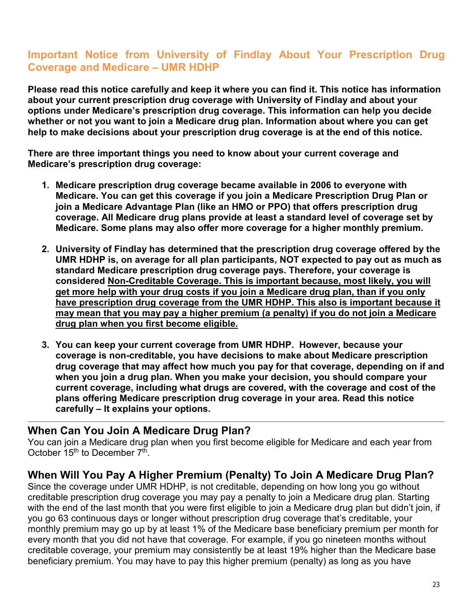#### **Important Notice from University of Findlay About Your Prescription Drug Coverage and Medicare – UMR HDHP**

**Please read this notice carefully and keep it where you can find it. This notice has information about your current prescription drug coverage with University of Findlay and about your options under Medicare's prescription drug coverage. This information can help you decide whether or not you want to join a Medicare drug plan. Information about where you can get help to make decisions about your prescription drug coverage is at the end of this notice.** 

**There are three important things you need to know about your current coverage and Medicare's prescription drug coverage:** 

- **1. Medicare prescription drug coverage became available in 2006 to everyone with Medicare. You can get this coverage if you join a Medicare Prescription Drug Plan or join a Medicare Advantage Plan (like an HMO or PPO) that offers prescription drug coverage. All Medicare drug plans provide at least a standard level of coverage set by Medicare. Some plans may also offer more coverage for a higher monthly premium.**
- **2. University of Findlay has determined that the prescription drug coverage offered by the UMR HDHP is, on average for all plan participants, NOT expected to pay out as much as standard Medicare prescription drug coverage pays. Therefore, your coverage is considered Non-Creditable Coverage. This is important because, most likely, you will get more help with your drug costs if you join a Medicare drug plan, than if you only have prescription drug coverage from the UMR HDHP. This also is important because it may mean that you may pay a higher premium (a penalty) if you do not join a Medicare drug plan when you first become eligible.**
- **3. You can keep your current coverage from UMR HDHP. However, because your coverage is non-creditable, you have decisions to make about Medicare prescription drug coverage that may affect how much you pay for that coverage, depending on if and when you join a drug plan. When you make your decision, you should compare your current coverage, including what drugs are covered, with the coverage and cost of the plans offering Medicare prescription drug coverage in your area. Read this notice carefully – It explains your options.**

#### **When Can You Join A Medicare Drug Plan?**

You can join a Medicare drug plan when you first become eligible for Medicare and each year from October 15<sup>th</sup> to December 7<sup>th</sup>.

#### **When Will You Pay A Higher Premium (Penalty) To Join A Medicare Drug Plan?**

Since the coverage under UMR HDHP, is not creditable, depending on how long you go without creditable prescription drug coverage you may pay a penalty to join a Medicare drug plan. Starting with the end of the last month that you were first eligible to join a Medicare drug plan but didn't join, if you go 63 continuous days or longer without prescription drug coverage that's creditable, your monthly premium may go up by at least 1% of the Medicare base beneficiary premium per month for every month that you did not have that coverage. For example, if you go nineteen months without creditable coverage, your premium may consistently be at least 19% higher than the Medicare base beneficiary premium. You may have to pay this higher premium (penalty) as long as you have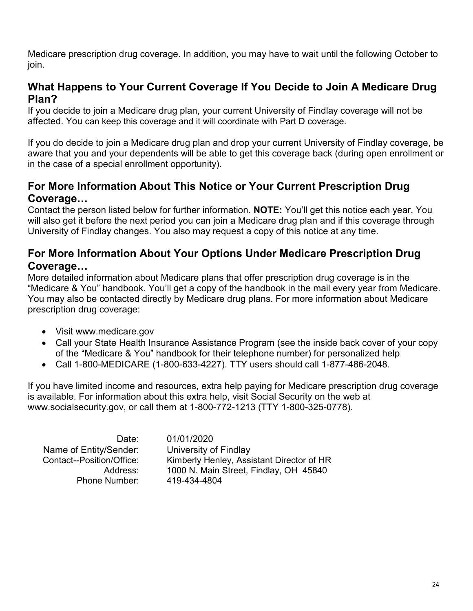Medicare prescription drug coverage. In addition, you may have to wait until the following October to join.

#### **What Happens to Your Current Coverage If You Decide to Join A Medicare Drug Plan?**

If you decide to join a Medicare drug plan, your current University of Findlay coverage will not be affected. You can keep this coverage and it will coordinate with Part D coverage.

If you do decide to join a Medicare drug plan and drop your current University of Findlay coverage, be aware that you and your dependents will be able to get this coverage back (during open enrollment or in the case of a special enrollment opportunity).

#### **For More Information About This Notice or Your Current Prescription Drug Coverage…**

Contact the person listed below for further information. **NOTE:** You'll get this notice each year. You will also get it before the next period you can join a Medicare drug plan and if this coverage through University of Findlay changes. You also may request a copy of this notice at any time.

#### **For More Information About Your Options Under Medicare Prescription Drug Coverage…**

More detailed information about Medicare plans that offer prescription drug coverage is in the "Medicare & You" handbook. You'll get a copy of the handbook in the mail every year from Medicare. You may also be contacted directly by Medicare drug plans. For more information about Medicare prescription drug coverage:

- Visit www.medicare.gov
- Call your State Health Insurance Assistance Program (see the inside back cover of your copy of the "Medicare & You" handbook for their telephone number) for personalized help
- Call 1-800-MEDICARE (1-800-633-4227). TTY users should call 1-877-486-2048.

If you have limited income and resources, extra help paying for Medicare prescription drug coverage is available. For information about this extra help, visit Social Security on the web at www.socialsecurity.gov, or call them at 1-800-772-1213 (TTY 1-800-325-0778).

 Name of Entity/Sender: University of Findlay Phone Number: 419-434-4804

 Date: 01/01/2020 Contact--Position/Office: Kimberly Henley, Assistant Director of HR Address: 1000 N. Main Street, Findlay, OH 45840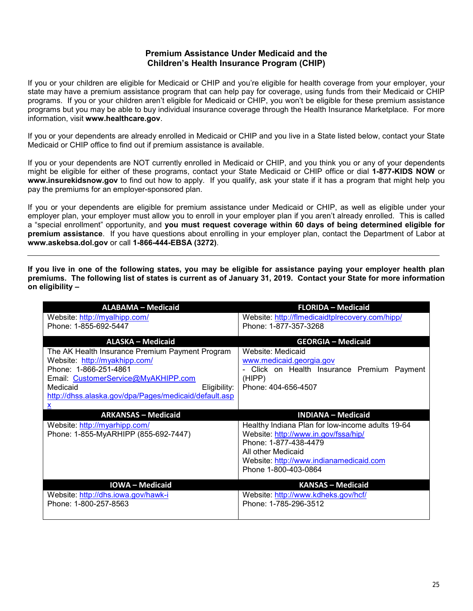#### **Premium Assistance Under Medicaid and the Children's Health Insurance Program (CHIP)**

If you or your children are eligible for Medicaid or CHIP and you're eligible for health coverage from your employer, your state may have a premium assistance program that can help pay for coverage, using funds from their Medicaid or CHIP programs. If you or your children aren't eligible for Medicaid or CHIP, you won't be eligible for these premium assistance programs but you may be able to buy individual insurance coverage through the Health Insurance Marketplace. For more information, visit **www.healthcare.gov**.

If you or your dependents are already enrolled in Medicaid or CHIP and you live in a State listed below, contact your State Medicaid or CHIP office to find out if premium assistance is available.

If you or your dependents are NOT currently enrolled in Medicaid or CHIP, and you think you or any of your dependents might be eligible for either of these programs, contact your State Medicaid or CHIP office or dial **1-877-KIDS NOW** or **www.insurekidsnow.gov** to find out how to apply. If you qualify, ask your state if it has a program that might help you pay the premiums for an employer-sponsored plan.

If you or your dependents are eligible for premium assistance under Medicaid or CHIP, as well as eligible under your employer plan, your employer must allow you to enroll in your employer plan if you aren't already enrolled. This is called a "special enrollment" opportunity, and **you must request coverage within 60 days of being determined eligible for premium assistance**. If you have questions about enrolling in your employer plan, contact the Department of Labor at **www.askebsa.dol.gov** or call **1-866-444-EBSA (3272)**.

**If you live in one of the following states, you may be eligible for assistance paying your employer health plan premiums. The following list of states is current as of January 31, 2019. Contact your State for more information on eligibility –** 

| <b>ALABAMA - Medicaid</b>                             | <b>FLORIDA - Medicaid</b>                        |
|-------------------------------------------------------|--------------------------------------------------|
| Website: http://myalhipp.com/                         | Website: http://flmedicaidtplrecovery.com/hipp/  |
| Phone: 1-855-692-5447                                 | Phone: 1-877-357-3268                            |
| <b>ALASKA - Medicaid</b>                              | <b>GEORGIA - Medicaid</b>                        |
| The AK Health Insurance Premium Payment Program       | Website: Medicaid                                |
| Website: http://myakhipp.com/                         | www.medicaid.georgia.gov                         |
| Phone: 1-866-251-4861                                 | - Click on Health Insurance Premium Payment      |
| Email: CustomerService@MyAKHIPP.com                   | (HIPP)                                           |
| Medicaid<br>Eligibility:                              | Phone: 404-656-4507                              |
| http://dhss.alaska.gov/dpa/Pages/medicaid/default.asp |                                                  |
| X                                                     |                                                  |
| <b>ARKANSAS - Medicaid</b>                            | <b>INDIANA - Medicaid</b>                        |
| Website: http://myarhipp.com/                         | Healthy Indiana Plan for low-income adults 19-64 |
| Phone: 1-855-MyARHIPP (855-692-7447)                  | Website: http://www.in.gov/fssa/hip/             |
|                                                       | Phone: 1-877-438-4479                            |
|                                                       | All other Medicaid                               |
|                                                       | Website: http://www.indianamedicaid.com          |
|                                                       | Phone 1-800-403-0864                             |
| <b>IOWA-Medicaid</b>                                  | <b>KANSAS - Medicaid</b>                         |
| Website: http://dhs.iowa.gov/hawk-i                   | Website: http://www.kdheks.gov/hcf/              |
| Phone: 1-800-257-8563                                 |                                                  |
|                                                       | Phone: 1-785-296-3512                            |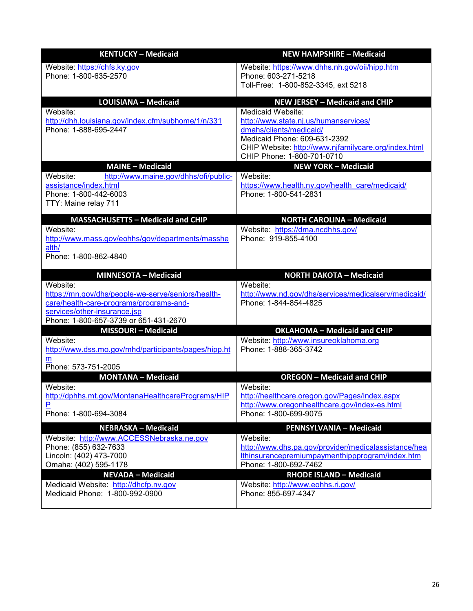| <b>KENTUCKY - Medicaid</b>                           | <b>NEW HAMPSHIRE - Medicaid</b>                                                                         |
|------------------------------------------------------|---------------------------------------------------------------------------------------------------------|
| Website: https://chfs.ky.gov                         | Website: https://www.dhhs.nh.gov/oii/hipp.htm                                                           |
| Phone: 1-800-635-2570                                | Phone: 603-271-5218                                                                                     |
|                                                      | Toll-Free: 1-800-852-3345, ext 5218                                                                     |
| <b>LOUISIANA - Medicaid</b>                          | <b>NEW JERSEY - Medicaid and CHIP</b>                                                                   |
| Website:                                             | Medicaid Website:                                                                                       |
| http://dhh.louisiana.gov/index.cfm/subhome/1/n/331   | http://www.state.nj.us/humanservices/                                                                   |
| Phone: 1-888-695-2447                                | dmahs/clients/medicaid/                                                                                 |
|                                                      | Medicaid Phone: 609-631-2392                                                                            |
|                                                      | CHIP Website: http://www.njfamilycare.org/index.html<br>CHIP Phone: 1-800-701-0710                      |
| <b>MAINE - Medicaid</b>                              | <b>NEW YORK - Medicaid</b>                                                                              |
| Website:<br>http://www.maine.gov/dhhs/ofi/public-    | Website:                                                                                                |
| assistance/index.html                                | https://www.health.ny.gov/health_care/medicaid/                                                         |
| Phone: 1-800-442-6003                                | Phone: 1-800-541-2831                                                                                   |
| TTY: Maine relay 711                                 |                                                                                                         |
| <b>MASSACHUSETTS - Medicaid and CHIP</b>             | <b>NORTH CAROLINA - Medicaid</b>                                                                        |
| Website:                                             | Website: https://dma.ncdhhs.gov/                                                                        |
| http://www.mass.gov/eohhs/gov/departments/masshe     | Phone: 919-855-4100                                                                                     |
| alth/                                                |                                                                                                         |
| Phone: 1-800-862-4840                                |                                                                                                         |
| <b>MINNESOTA - Medicaid</b>                          | <b>NORTH DAKOTA - Medicaid</b>                                                                          |
| Website:                                             | Website:                                                                                                |
| https://mn.gov/dhs/people-we-serve/seniors/health-   | http://www.nd.gov/dhs/services/medicalserv/medicaid/                                                    |
| care/health-care-programs/programs-and-              | Phone: 1-844-854-4825                                                                                   |
| services/other-insurance.jsp                         |                                                                                                         |
| Phone: 1-800-657-3739 or 651-431-2670                |                                                                                                         |
| <b>MISSOURI - Medicaid</b><br>Website:               | <b>OKLAHOMA - Medicaid and CHIP</b><br>Website: http://www.insureoklahoma.org                           |
| http://www.dss.mo.gov/mhd/participants/pages/hipp.ht | Phone: 1-888-365-3742                                                                                   |
| m                                                    |                                                                                                         |
| Phone: 573-751-2005                                  |                                                                                                         |
| <b>MONTANA - Medicaid</b>                            | <b>OREGON - Medicaid and CHIP</b>                                                                       |
| Website:                                             | Website:                                                                                                |
| http://dphhs.mt.gov/MontanaHealthcarePrograms/HIP    | http://healthcare.oregon.gov/Pages/index.aspx                                                           |
| P<br>Phone: 1-800-694-3084                           | http://www.oregonhealthcare.gov/index-es.html<br>Phone: 1-800-699-9075                                  |
|                                                      |                                                                                                         |
| <b>NEBRASKA - Medicaid</b>                           | <b>PENNSYLVANIA - Medicaid</b>                                                                          |
| Website: http://www.ACCESSNebraska.ne.gov            | Website:                                                                                                |
| Phone: (855) 632-7633<br>Lincoln: (402) 473-7000     | http://www.dhs.pa.gov/provider/medicalassistance/hea<br>Ithinsurancepremiumpaymenthippprogram/index.htm |
| Omaha: (402) 595-1178                                | Phone: 1-800-692-7462                                                                                   |
| <b>NEVADA - Medicaid</b>                             | <b>RHODE ISLAND - Medicaid</b>                                                                          |
| Medicaid Website: http://dhcfp.nv.gov                | Website: http://www.eohhs.ri.gov/                                                                       |
| Medicaid Phone: 1-800-992-0900                       | Phone: 855-697-4347                                                                                     |
|                                                      |                                                                                                         |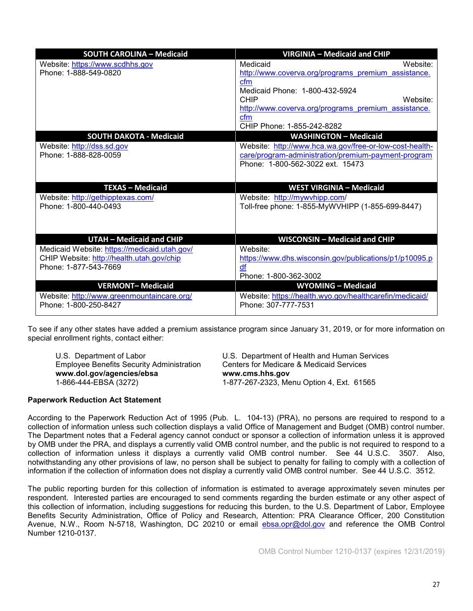| <b>SOUTH CAROLINA - Medicaid</b>             | VIRGINIA - Medicaid and CHIP                            |
|----------------------------------------------|---------------------------------------------------------|
| Website: https://www.scdhhs.gov              | Medicaid<br>Website:                                    |
| Phone: 1-888-549-0820                        | http://www.coverva.org/programs premium assistance.     |
|                                              | cfm                                                     |
|                                              | Medicaid Phone: 1-800-432-5924                          |
|                                              | CHIP<br>Website:                                        |
|                                              | http://www.coverva.org/programs premium assistance.     |
|                                              | cfm                                                     |
|                                              | CHIP Phone: 1-855-242-8282                              |
| <b>SOUTH DAKOTA - Medicaid</b>               | <b>WASHINGTON - Medicaid</b>                            |
| Website: http://dss.sd.gov                   | Website: http://www.hca.wa.gov/free-or-low-cost-health- |
| Phone: 1-888-828-0059                        | care/program-administration/premium-payment-program     |
|                                              | Phone: 1-800-562-3022 ext. 15473                        |
|                                              |                                                         |
| <b>TEXAS - Medicaid</b>                      | <b>WEST VIRGINIA - Medicaid</b>                         |
| Website: http://gethipptexas.com/            | Website: http://mywvhipp.com/                           |
| Phone: 1-800-440-0493                        | Toll-free phone: 1-855-MyWVHIPP (1-855-699-8447)        |
|                                              |                                                         |
|                                              |                                                         |
| <b>UTAH - Medicaid and CHIP</b>              | <b>WISCONSIN - Medicaid and CHIP</b>                    |
| Medicaid Website: https://medicaid.utah.gov/ | Website:                                                |
| CHIP Website: http://health.utah.gov/chip    | https://www.dhs.wisconsin.gov/publications/p1/p10095.p  |
| Phone: 1-877-543-7669                        | df                                                      |
|                                              | Phone: 1-800-362-3002                                   |
| <b>VERMONT-Medicaid</b>                      | <b>WYOMING - Medicaid</b>                               |
| Website: http://www.greenmountaincare.org/   | Website: https://health.wyo.gov/healthcarefin/medicaid/ |
| Phone: 1-800-250-8427                        | Phone: 307-777-7531                                     |
|                                              |                                                         |

To see if any other states have added a premium assistance program since January 31, 2019, or for more information on special enrollment rights, contact either:

Employee Benefits Security Administration Centers for Medicare & Medicaid Services **www.dol.gov/agencies/ebsa www.cms.hhs.gov**<br>1-866-444-EBSA (3272) 1-877-267-2323, Me

U.S. Department of Labor U.S. Department of Health and Human Services 1-877-267-2323, Menu Option 4, Ext. 61565

#### **Paperwork Reduction Act Statement**

According to the Paperwork Reduction Act of 1995 (Pub. L. 104-13) (PRA), no persons are required to respond to a collection of information unless such collection displays a valid Office of Management and Budget (OMB) control number. The Department notes that a Federal agency cannot conduct or sponsor a collection of information unless it is approved by OMB under the PRA, and displays a currently valid OMB control number, and the public is not required to respond to a collection of information unless it displays a currently valid OMB control number. See 44 U.S.C. 3507. Also, notwithstanding any other provisions of law, no person shall be subject to penalty for failing to comply with a collection of information if the collection of information does not display a currently valid OMB control number. See 44 U.S.C. 3512.

The public reporting burden for this collection of information is estimated to average approximately seven minutes per respondent. Interested parties are encouraged to send comments regarding the burden estimate or any other aspect of this collection of information, including suggestions for reducing this burden, to the U.S. Department of Labor, Employee Benefits Security Administration, Office of Policy and Research, Attention: PRA Clearance Officer, 200 Constitution Avenue, N.W., Room N-5718, Washington, DC 20210 or email ebsa.opr@dol.gov and reference the OMB Control Number 1210-0137.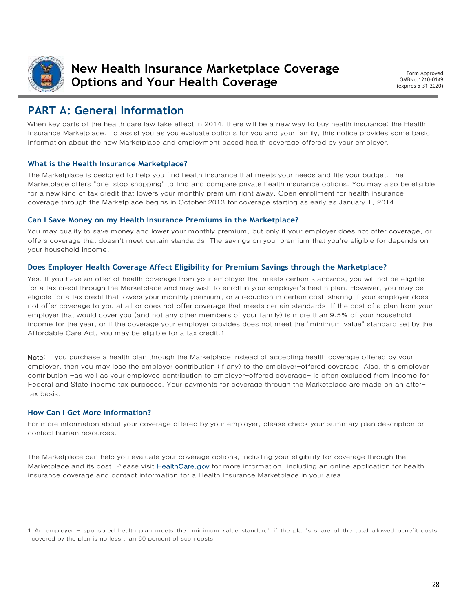

**New Health Insurance Marketplace Coverage Options and Your Health Coverage**

Form Approved OMBNo.1210-0149 (expires 5-31-2020)

#### **PART A: General Information**

When key parts of the health care law take effect in 2014, there will be a new way to buy health insurance: the Health Insurance Marketplace. To assist you as you evaluate options for you and your family, this notice provides some basic information about the new Marketplace and employment based health coverage offered by your employer.

#### **What is the Health Insurance Marketplace?**

The Marketplace is designed to help you find health insurance that meets your needs and fits your budget. The Marketplace offers "one-stop shopping" to find and compare private health insurance options. You may also be eligible for a new kind of tax credit that lowers your monthly premium right away. Open enrollment for health insurance coverage through the Marketplace begins in October 2013 for coverage starting as early as January 1, 2014.

#### **Can I Save Money on my Health Insurance Premiums in the Marketplace?**

You may qualify to save money and lower your monthly premium, but only if your employer does not offer coverage, or offers coverage that doesn't meet certain standards. The savings on your premium that you're eligible for depends on your household income.

#### **Does Employer Health Coverage Affect Eligibility for Premium Savings through the Marketplace?**

Yes. If you have an offer of health coverage from your employer that meets certain standards, you will not be eligible for a tax credit through the Marketplace and may wish to enroll in your employer's health plan. However, you may be eligible for a tax credit that lowers your monthly premium, or a reduction in certain cost-sharing if your employer does not offer coverage to you at all or does not offer coverage that meets certain standards. If the cost of a plan from your employer that would cover you (and not any other members of your family) is more than 9.5% of your household income for the year, or if the coverage your employer provides does not meet the "minimum value" standard set by the Affordable Care Act, you may be eligible for a tax credit.1

Note: If you purchase a health plan through the Marketplace instead of accepting health coverage offered by your employer, then you may lose the employer contribution (if any) to the employer-offered coverage. Also, this employer contribution -as well as your employee contribution to employer-offered coverage- is often excluded from income for Federal and State income tax purposes. Your payments for coverage through the Marketplace are made on an aftertax basis.

#### **How Can I Get More Information?**

For more information about your coverage offered by your employer, please check your summary plan description or contact human resources.

The Marketplace can help you evaluate your coverage options, including your eligibility for coverage through the Marketplace and its cost. Please visit HealthCare.gov for more information, including an online application for health insurance coverage and contact information for a Health Insurance Marketplace in your area.

<sup>1</sup> An employer - sponsored health plan meets the "minimum value standard" if the plan's share of the total allowed benefit costs covered by the plan is no less than 60 percent of such costs.